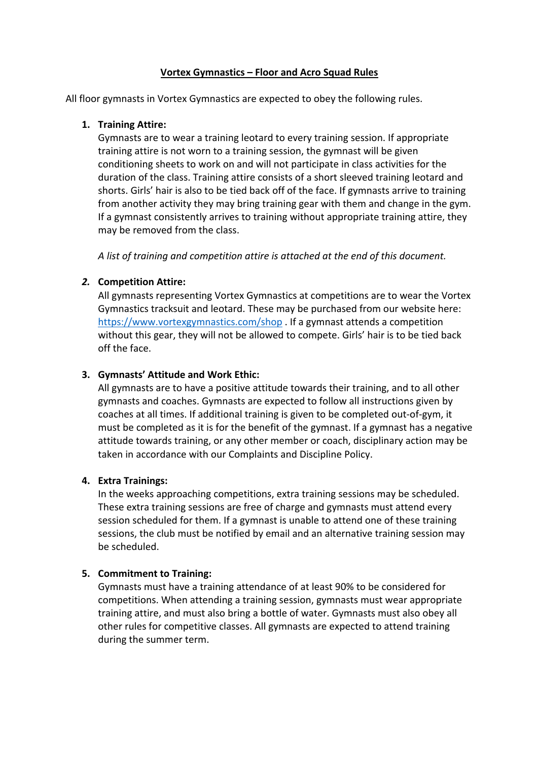### **Vortex Gymnastics – Floor and Acro Squad Rules**

All floor gymnasts in Vortex Gymnastics are expected to obey the following rules.

## **1. Training Attire:**

Gymnasts are to wear a training leotard to every training session. If appropriate training attire is not worn to a training session, the gymnast will be given conditioning sheets to work on and will not participate in class activities for the duration of the class. Training attire consists of a short sleeved training leotard and shorts. Girls' hair is also to be tied back off of the face. If gymnasts arrive to training from another activity they may bring training gear with them and change in the gym. If a gymnast consistently arrives to training without appropriate training attire, they may be removed from the class.

*A list of training and competition attire is attached at the end of this document.*

# *2.* **Competition Attire:**

All gymnasts representing Vortex Gymnastics at competitions are to wear the Vortex Gymnastics tracksuit and leotard. These may be purchased from our website here: https://www.vortexgymnastics.com/shop . If a gymnast attends a competition without this gear, they will not be allowed to compete. Girls' hair is to be tied back off the face.

## **3. Gymnasts' Attitude and Work Ethic:**

All gymnasts are to have a positive attitude towards their training, and to all other gymnasts and coaches. Gymnasts are expected to follow all instructions given by coaches at all times. If additional training is given to be completed out-of-gym, it must be completed as it is for the benefit of the gymnast. If a gymnast has a negative attitude towards training, or any other member or coach, disciplinary action may be taken in accordance with our Complaints and Discipline Policy.

# **4. Extra Trainings:**

In the weeks approaching competitions, extra training sessions may be scheduled. These extra training sessions are free of charge and gymnasts must attend every session scheduled for them. If a gymnast is unable to attend one of these training sessions, the club must be notified by email and an alternative training session may be scheduled.

#### **5. Commitment to Training:**

Gymnasts must have a training attendance of at least 90% to be considered for competitions. When attending a training session, gymnasts must wear appropriate training attire, and must also bring a bottle of water. Gymnasts must also obey all other rules for competitive classes. All gymnasts are expected to attend training during the summer term.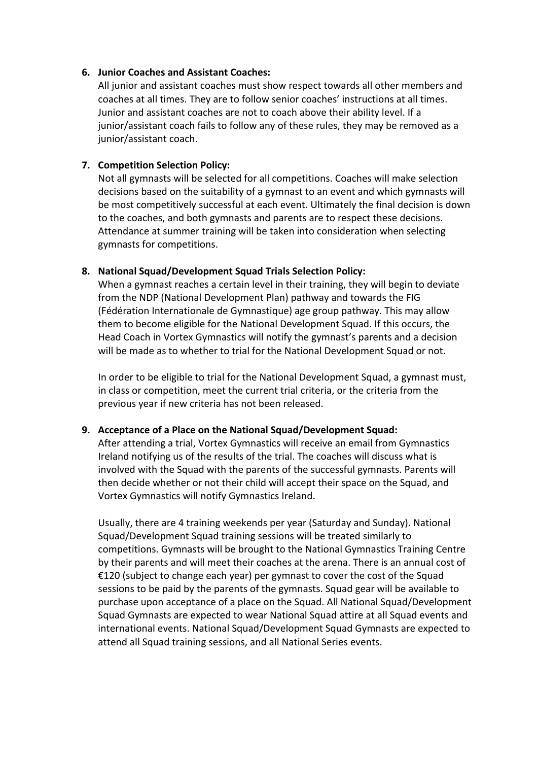#### **6. Junior Coaches and Assistant Coaches:**

All junior and assistant coaches must show respect towards all other members and coaches at all times. They are to follow senior coaches' instructions at all times. Junior and assistant coaches are not to coach above their ability level. If a junior/assistant coach fails to follow any of these rules, they may be removed as a junior/assistant coach.

#### **7. Competition Selection Policy:**

Not all gymnasts will be selected for all competitions. Coaches will make selection decisions based on the suitability of a gymnast to an event and which gymnasts will be most competitively successful at each event. Ultimately the final decision is down to the coaches, and both gymnasts and parents are to respect these decisions. Attendance at summer training will be taken into consideration when selecting gymnasts for competitions.

#### **8. National Squad/Development Squad Trials Selection Policy:**

When a gymnast reaches a certain level in their training, they will begin to deviate from the NDP (National Development Plan) pathway and towards the FIG (Fédération Internationale de Gymnastique) age group pathway. This may allow them to become eligible for the National Development Squad. If this occurs, the Head Coach in Vortex Gymnastics will notify the gymnast's parents and a decision will be made as to whether to trial for the National Development Squad or not.

In order to be eligible to trial for the National Development Squad, a gymnast must, in class or competition, meet the current trial criteria, or the criteria from the previous year if new criteria has not been released.

#### **9. Acceptance of a Place on the National Squad/Development Squad:**

After attending a trial, Vortex Gymnastics will receive an email from Gymnastics Ireland notifying us of the results of the trial. The coaches will discuss what is involved with the Squad with the parents of the successful gymnasts. Parents will then decide whether or not their child will accept their space on the Squad, and Vortex Gymnastics will notify Gymnastics Ireland.

Usually, there are 4 training weekends per year (Saturday and Sunday). National Squad/Development Squad training sessions will be treated similarly to competitions. Gymnasts will be brought to the National Gymnastics Training Centre by their parents and will meet their coaches at the arena. There is an annual cost of €120 (subject to change each year) per gymnast to cover the cost of the Squad sessions to be paid by the parents of the gymnasts. Squad gear will be available to purchase upon acceptance of a place on the Squad. All National Squad/Development Squad Gymnasts are expected to wear National Squad attire at all Squad events and international events. National Squad/Development Squad Gymnasts are expected to attend all Squad training sessions, and all National Series events.